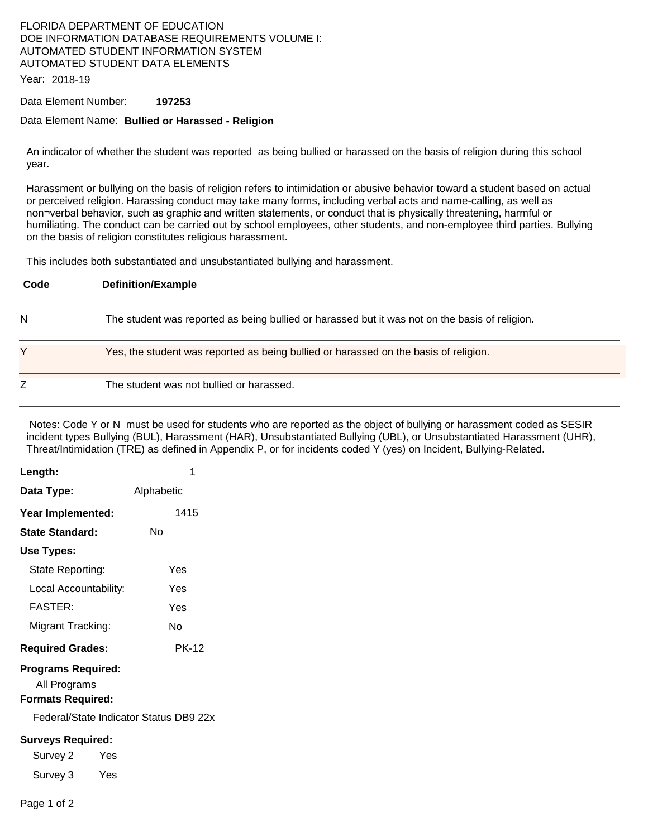### FLORIDA DEPARTMENT OF EDUCATION DOE INFORMATION DATABASE REQUIREMENTS VOLUME I: AUTOMATED STUDENT INFORMATION SYSTEM AUTOMATED STUDENT DATA ELEMENTS

Year: 2018-19

#### Data Element Number: **197253**

#### Data Element Name: **Bullied or Harassed - Religion**

An indicator of whether the student was reported as being bullied or harassed on the basis of religion during this school year.

Harassment or bullying on the basis of religion refers to intimidation or abusive behavior toward a student based on actual or perceived religion. Harassing conduct may take many forms, including verbal acts and name-calling, as well as non¬verbal behavior, such as graphic and written statements, or conduct that is physically threatening, harmful or humiliating. The conduct can be carried out by school employees, other students, and non-employee third parties. Bullying on the basis of religion constitutes religious harassment.

This includes both substantiated and unsubstantiated bullying and harassment.

| Code | <b>Definition/Example</b>                                                                      |
|------|------------------------------------------------------------------------------------------------|
| N    | The student was reported as being bullied or harassed but it was not on the basis of religion. |
| Y    | Yes, the student was reported as being bullied or harassed on the basis of religion.           |
| Z    | The student was not bullied or harassed.                                                       |

 Notes: Code Y or N must be used for students who are reported as the object of bullying or harassment coded as SESIR incident types Bullying (BUL), Harassment (HAR), Unsubstantiated Bullying (UBL), or Unsubstantiated Harassment (UHR), Threat/Intimidation (TRE) as defined in Appendix P, or for incidents coded Y (yes) on Incident, Bullying-Related.

| Length:                                                               | 1            |  |  |  |
|-----------------------------------------------------------------------|--------------|--|--|--|
| Data Type:                                                            | Alphabetic   |  |  |  |
| Year Implemented:                                                     | 1415         |  |  |  |
| <b>State Standard:</b>                                                | No           |  |  |  |
| Use Types:                                                            |              |  |  |  |
| State Reporting:                                                      | Yes          |  |  |  |
| Local Accountability:                                                 | Yes          |  |  |  |
| <b>FASTER:</b>                                                        | Yes          |  |  |  |
| Migrant Tracking:                                                     | Nο           |  |  |  |
| <b>Required Grades:</b>                                               | <b>PK-12</b> |  |  |  |
| <b>Programs Required:</b><br>All Programs<br><b>Formats Required:</b> |              |  |  |  |
| Federal/State Indicator Status DB9 22x                                |              |  |  |  |
| <b>Surveys Required:</b>                                              |              |  |  |  |
| Survey 2<br>Yes                                                       |              |  |  |  |
| Survey 3<br>Yes                                                       |              |  |  |  |
| Page 1 of 2                                                           |              |  |  |  |